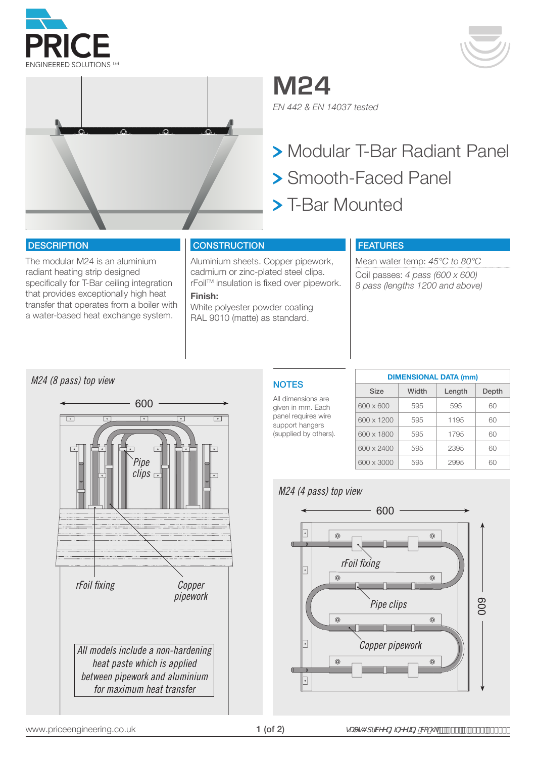





**M24** *EN 442 & EN 14037 tested*

# Modular T-Bar Radiant Panel > Smooth-Faced Panel T-Bar Mounted

#### **DESCRIPTION**

The modular M24 is an aluminium radiant heating strip designed specifically for T-Bar ceiling integration that provides exceptionally high heat transfer that operates from a boiler with a water-based heat exchange system.

### **CONSTRUCTION**

Aluminium sheets. Copper pipework, cadmium or zinc-plated steel clips. rFoil™ insulation is fixed over pipework.

#### **Finish:**

White polyester powder coating RAL 9010 (matte) as standard.

## FEATURES

Mean water temp: *45°C to 80°C* Coil passes: *4 pass (600 x 600) 8 pass (lengths 1200 and above)*

#### *M24 (8 pass) top view*



# **NOTES**

All dimensions are given in mm. Each panel requires wire support hangers (supplied by others).

| <b>DIMENSIONAL DATA (mm)</b> |       |        |       |  |  |  |  |  |  |  |
|------------------------------|-------|--------|-------|--|--|--|--|--|--|--|
| Size                         | Width | Length | Depth |  |  |  |  |  |  |  |
| 600 x 600                    | 595   | 595    | 60    |  |  |  |  |  |  |  |
| 600 x 1200                   | 595   | 1195   | 60    |  |  |  |  |  |  |  |
| 600 x 1800                   | 595   | 1795   | 60    |  |  |  |  |  |  |  |
| 600 x 2400                   | 595   | 2395   | 60    |  |  |  |  |  |  |  |
| 600 x 3000                   | 595   | 2995   |       |  |  |  |  |  |  |  |

# *M24 (4 pass) top view*